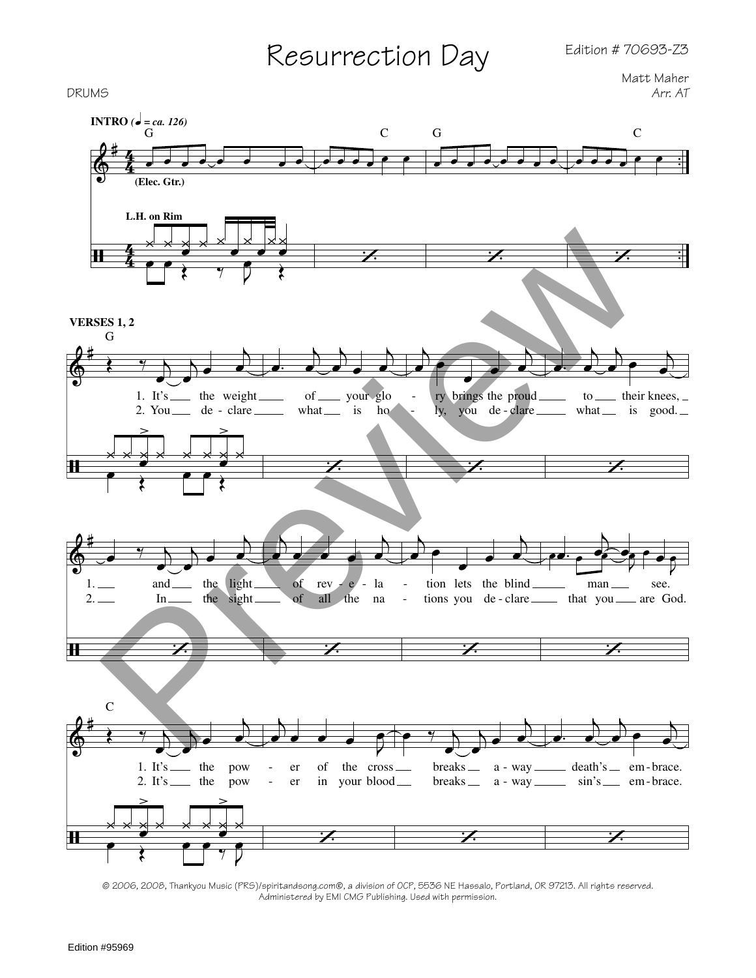## Resurrection Day

Matt Maher<br>*Arr. AT* 



Administered by EMI CMG Publishing. Used with permission.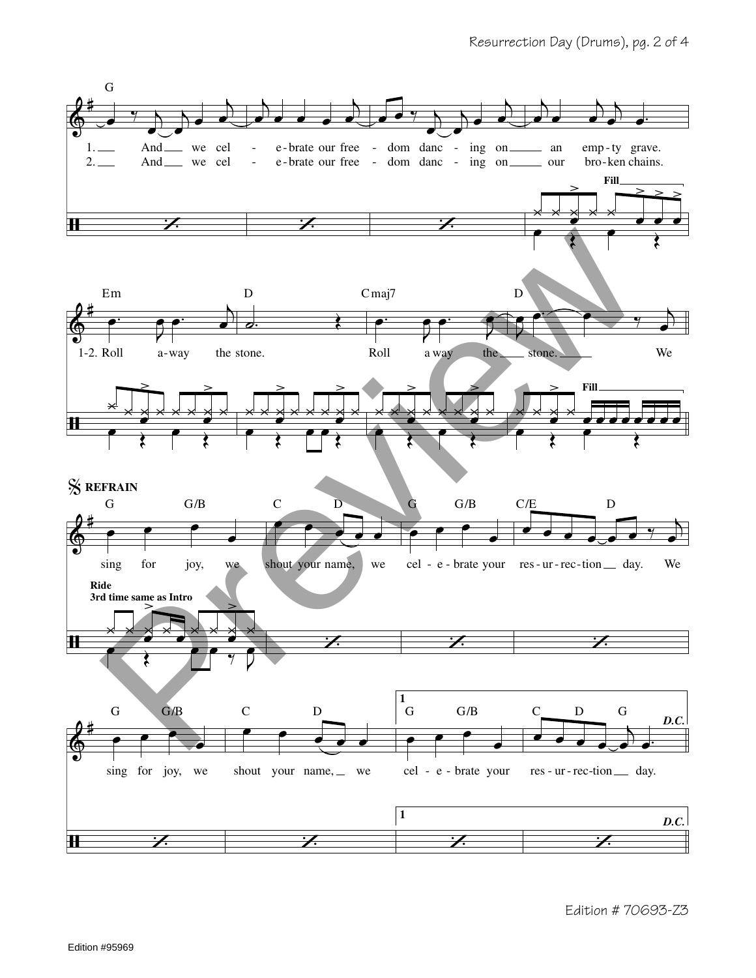

Edition # 70693-23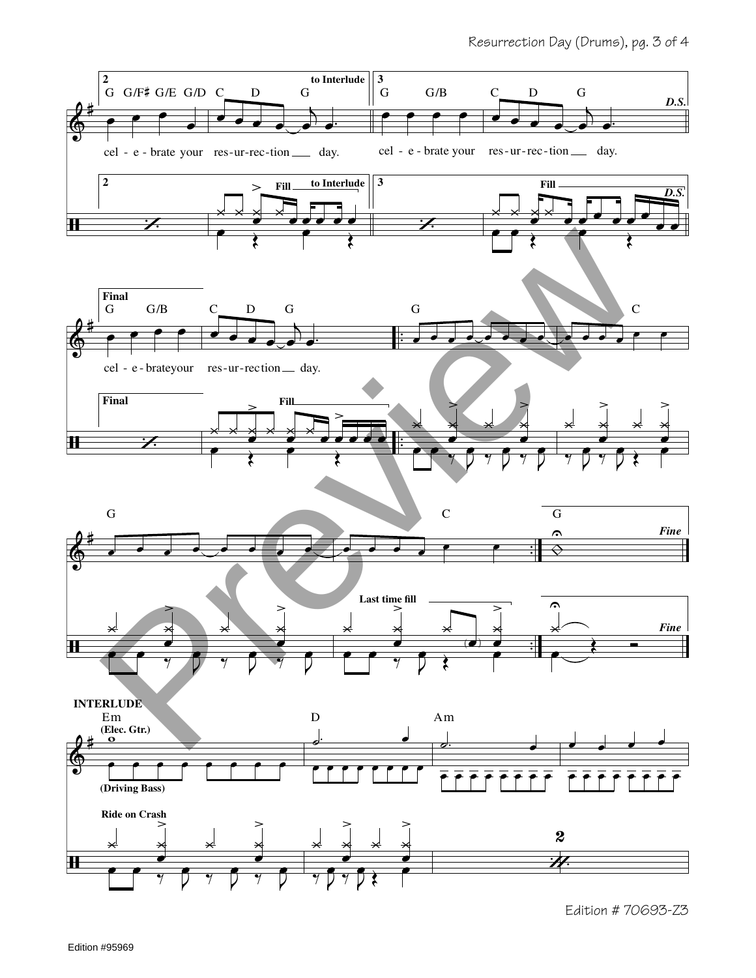

Edition # 70693-Z3